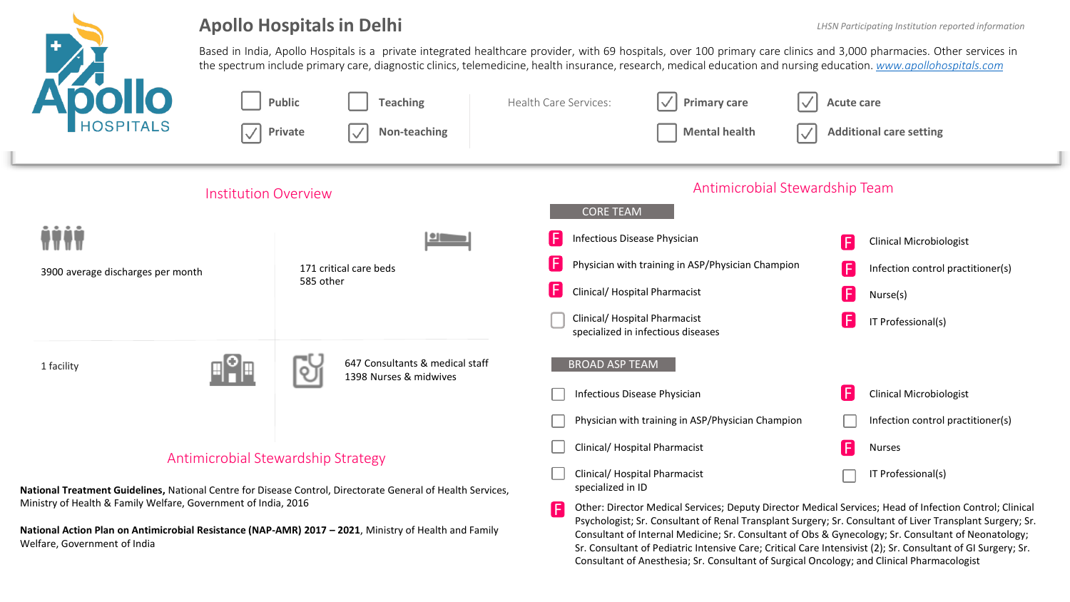

### **Apollo Hospitals in Delhi**

Psychologist; Sr. Consultant of Renal Transplant Surgery; Sr. Consultant of Liver Transplant Surgery; Sr. Consultant of Internal Medicine; Sr. Consultant of Obs & Gynecology; Sr. Consultant of Neonatology; Sr. Consultant of Pediatric Intensive Care; Critical Care Intensivist (2); Sr. Consultant of GI Surgery; Sr.

Consultant of Anesthesia; Sr. Consultant of Surgical Oncology; and Clinical Pharmacologist

Based in India, Apollo Hospitals is a private integrated healthcare provider, with 69 hospitals, over 100 primary care clinics and 3,000 pharmacies. Other services in the spectrum include primary care, diagnostic clinics, telemedicine, health insurance, research, medical education and nursing education. *[www.apollohospitals.com](http://www.apollohospitals.com/)*



**National Action Plan on Antimicrobial Resistance (NAP-AMR) 2017 – 2021**, Ministry of Health and Family Welfare, Government of India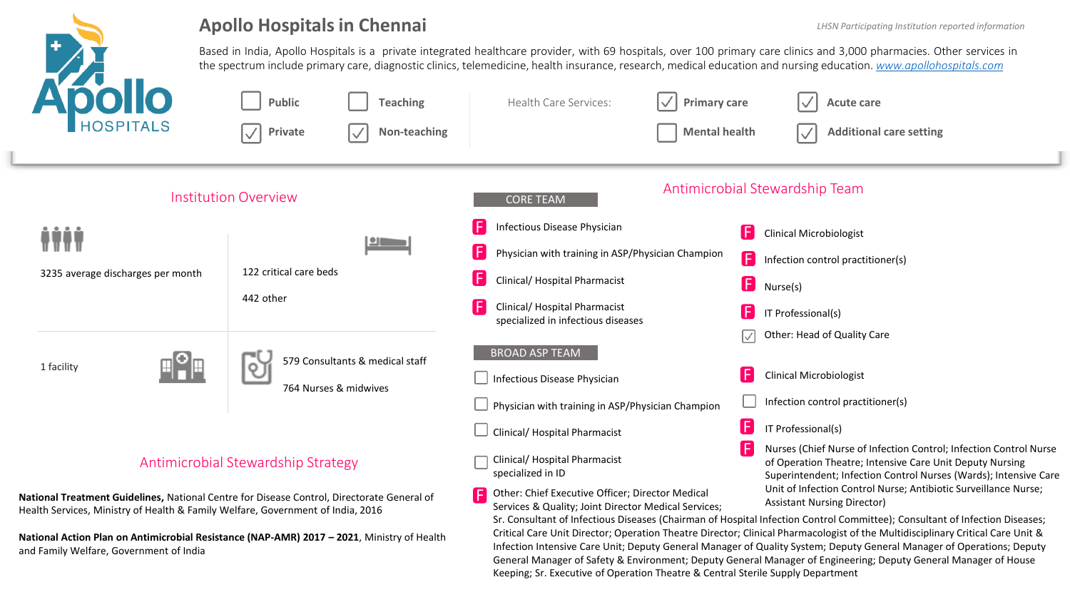

### **Apollo Hospitals in Chennai**

Based in India, Apollo Hospitals is a private integrated healthcare provider, with 69 hospitals, over 100 primary care clinics and 3,000 pharmacies. Other services in the spectrum include primary care, diagnostic clinics, telemedicine, health insurance, research, medical education and nursing education. *[www.apollohospitals.com](http://www.apollohospitals.com/)*



Infection Intensive Care Unit; Deputy General Manager of Quality System; Deputy General Manager of Operations; Deputy General Manager of Safety & Environment; Deputy General Manager of Engineering; Deputy General Manager of House Keeping; Sr. Executive of Operation Theatre & Central Sterile Supply Department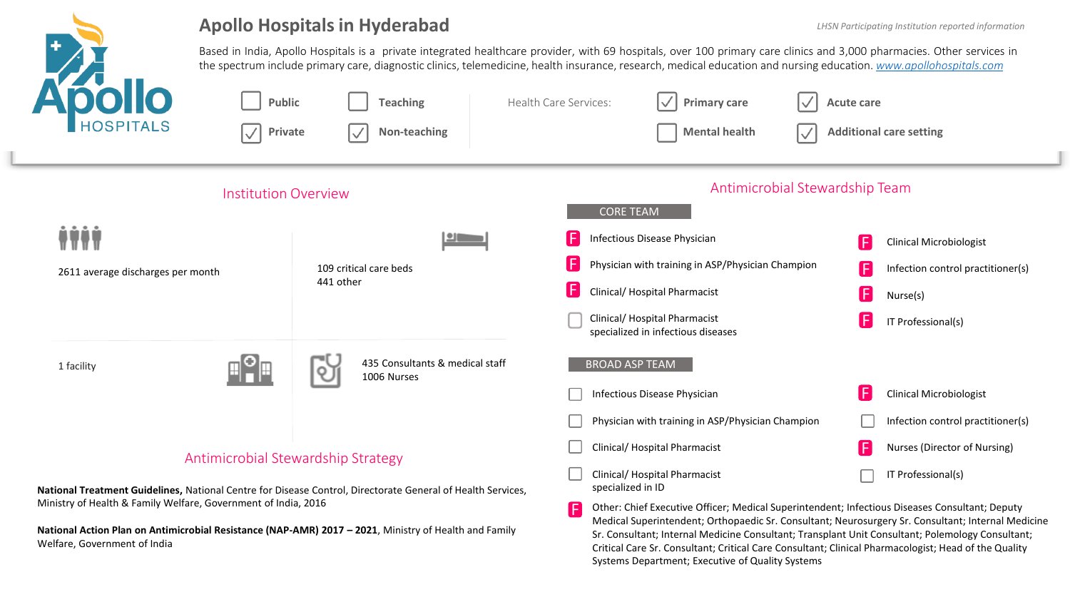

### **Apollo Hospitals in Hyderabad**

Medical Superintendent; Orthopaedic Sr. Consultant; Neurosurgery Sr. Consultant; Internal Medicine Sr. Consultant; Internal Medicine Consultant; Transplant Unit Consultant; Polemology Consultant; Critical Care Sr. Consultant; Critical Care Consultant; Clinical Pharmacologist; Head of the Quality

Systems Department; Executive of Quality Systems

Based in India, Apollo Hospitals is a private integrated healthcare provider, with 69 hospitals, over 100 primary care clinics and 3,000 pharmacies. Other services in the spectrum include primary care, diagnostic clinics, telemedicine, health insurance, research, medical education and nursing education. *[www.apollohospitals.com](http://www.apollohospitals.com/)*



**National Action Plan on Antimicrobial Resistance (NAP-AMR) 2017 – 2021**, Ministry of Health and Family Welfare, Government of India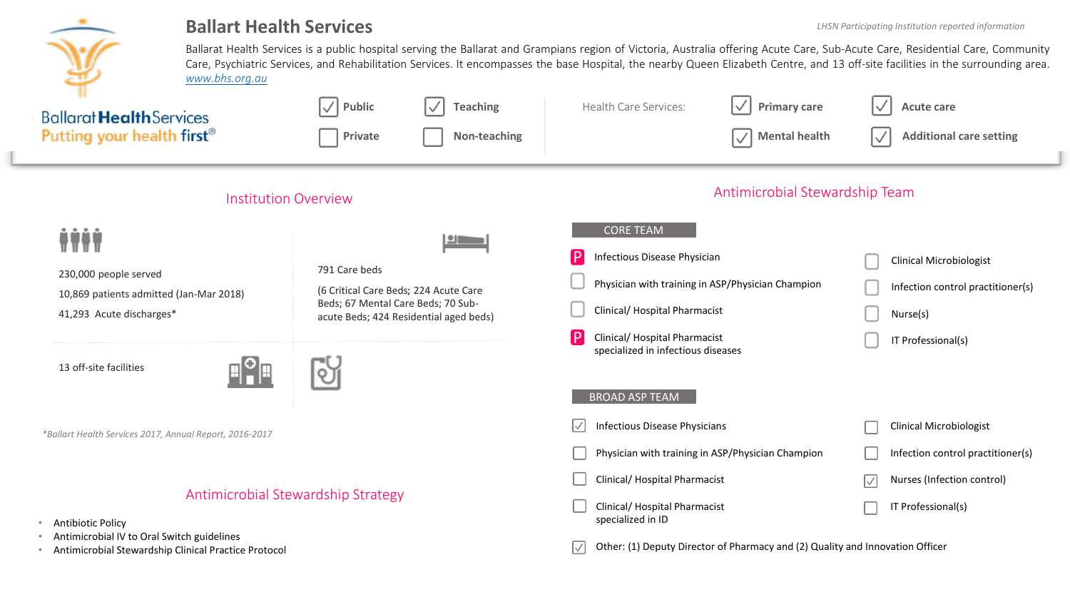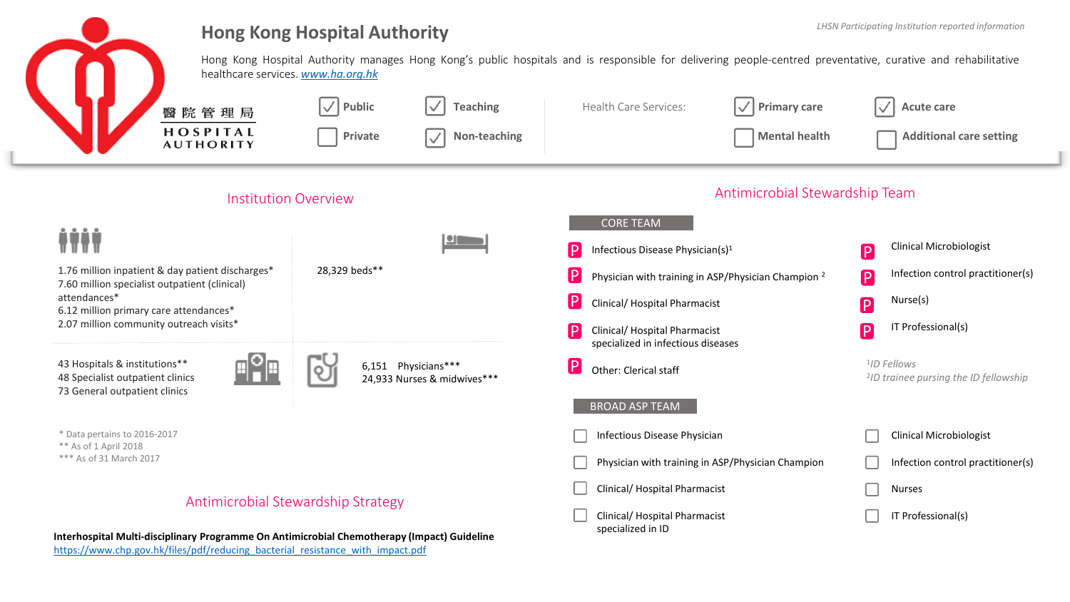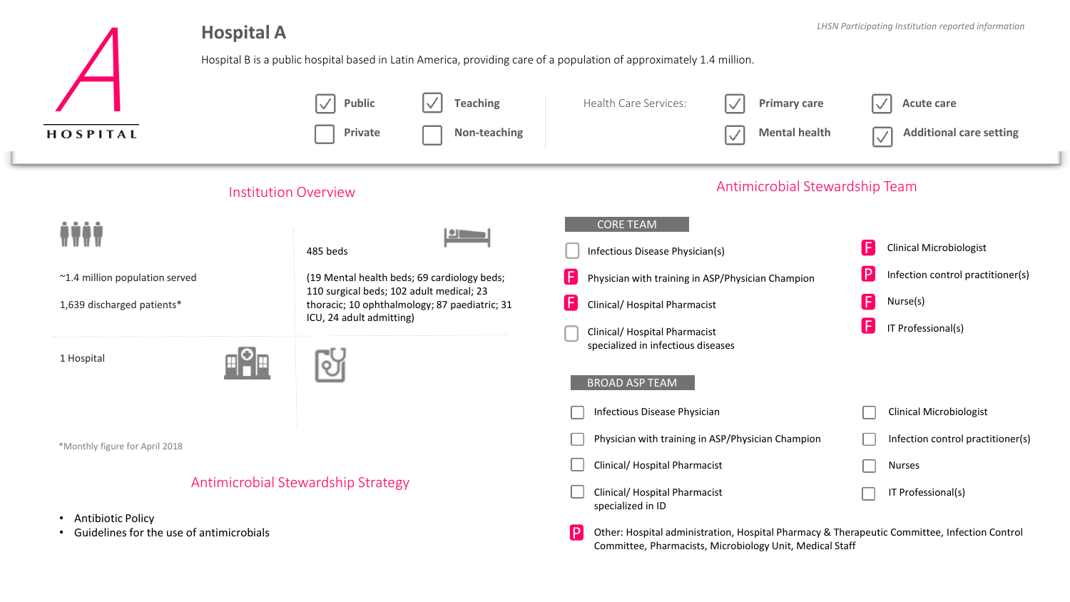| <b>Hospital A</b>                                                              | LHSN Participating Institution reported information<br>Hospital B is a public hospital based in Latin America, providing care of a population of approximately 1.4 million.                        |                                                                                                                                                                                      |                                                                                                                                                                                          |
|--------------------------------------------------------------------------------|----------------------------------------------------------------------------------------------------------------------------------------------------------------------------------------------------|--------------------------------------------------------------------------------------------------------------------------------------------------------------------------------------|------------------------------------------------------------------------------------------------------------------------------------------------------------------------------------------|
| HOSPITAL                                                                       | $\vert \surd$<br><b>Teaching</b><br><b>Public</b><br>Non-teaching<br>Private                                                                                                                       | Health Care Services:<br>$\backslash\!/$<br><b>Primary care</b><br><b>Mental health</b><br>$\checkmark$                                                                              | <b>Acute care</b><br><b>Additional care setting</b>                                                                                                                                      |
| <b>Institution Overview</b>                                                    |                                                                                                                                                                                                    | Antimicrobial Stewardship Team                                                                                                                                                       |                                                                                                                                                                                          |
| ~1.4 million population served<br>1,639 discharged patients*                   | $\blacksquare$<br>485 beds<br>(19 Mental health beds; 69 cardiology beds;<br>110 surgical beds; 102 adult medical; 23<br>thoracic; 10 ophthalmology; 87 paediatric; 31<br>ICU, 24 adult admitting) | <b>CORE TEAM</b><br>Infectious Disease Physician(s)<br>Œ<br>Physician with training in ASP/Physician Champion<br>0<br>Clinical/ Hospital Pharmacist<br>Clinical/ Hospital Pharmacist | $\left  \right $<br><b>Clinical Microbiologist</b><br>$\mathsf{P}$<br>Infection control practitioner(s)<br>$\left[\mathsf{F}\right]$<br>Nurse(s)<br>$[\mathsf{F}]$<br>IT Professional(s) |
| 1 Hospital                                                                     | ΟT                                                                                                                                                                                                 | specialized in infectious diseases<br><b>BROAD ASP TEAM</b>                                                                                                                          |                                                                                                                                                                                          |
|                                                                                |                                                                                                                                                                                                    | Infectious Disease Physician                                                                                                                                                         | <b>Clinical Microbiologist</b>                                                                                                                                                           |
| *Monthly figure for April 2018                                                 |                                                                                                                                                                                                    | Physician with training in ASP/Physician Champion                                                                                                                                    | Infection control practitioner(s)                                                                                                                                                        |
|                                                                                |                                                                                                                                                                                                    | Clinical/ Hospital Pharmacist                                                                                                                                                        | Nurses                                                                                                                                                                                   |
| Antimicrobial Stewardship Strategy                                             |                                                                                                                                                                                                    | Clinical/ Hospital Pharmacist<br>specialized in ID                                                                                                                                   | IT Professional(s)                                                                                                                                                                       |
| <b>Antibiotic Policy</b><br>٠<br>Guidelines for the use of antimicrobials<br>٠ |                                                                                                                                                                                                    | $\mathsf{P}$<br>Other: Hospital administration, Hospital Pharmacy & Therapeutic Committee, Infection Control<br>Committee, Pharmacists, Microbiology Unit, Medical Staff             |                                                                                                                                                                                          |

 $\blacksquare$ **Septiments**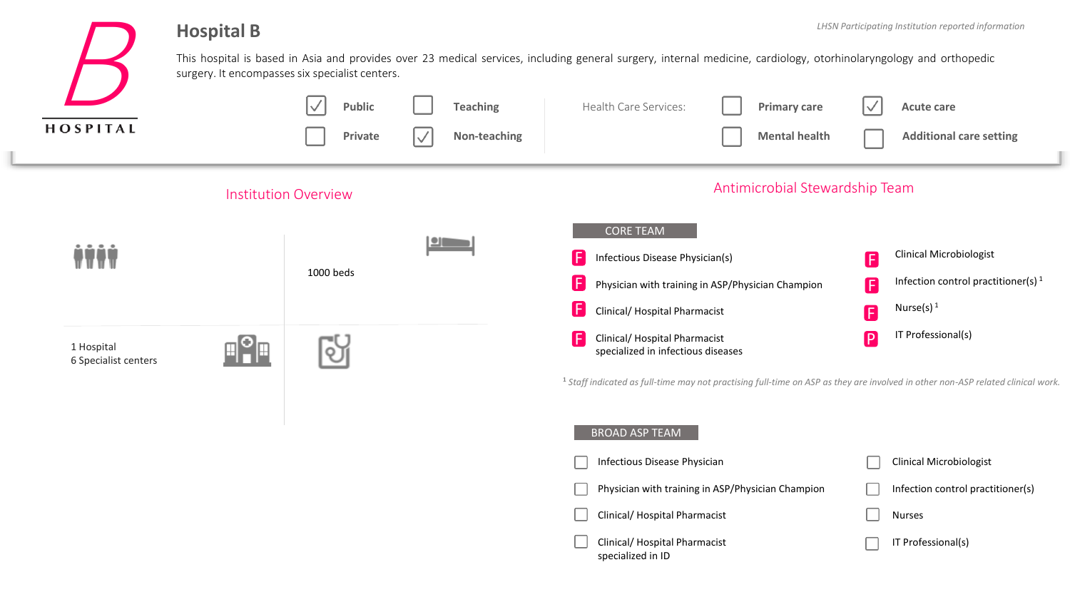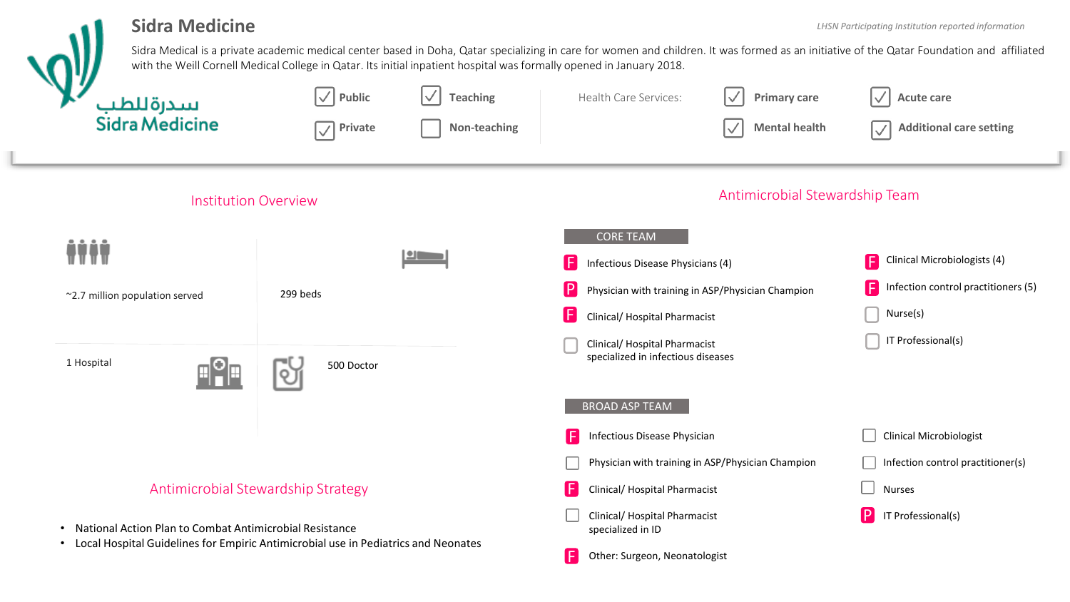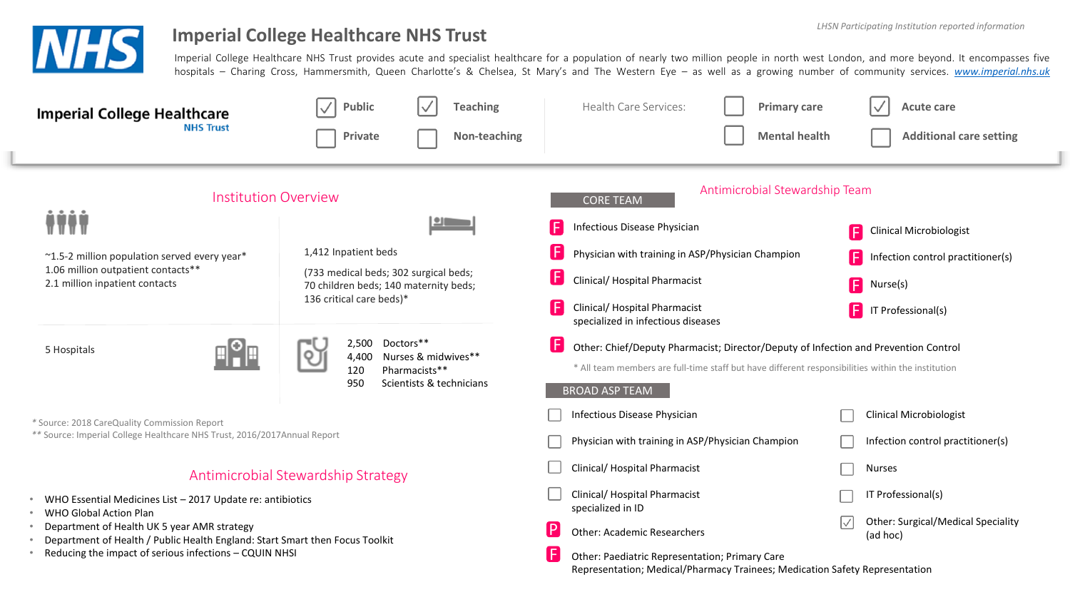

# **Imperial College Healthcare NHS Trust Institute 10 and 2011 115 and 2013 115 and 2013 115 and 2013 115 and 2013 115 and 2013 115 and 2013 115 and 2013 115 and 2013 115 and 2013 115 and 2013 115 and 2013 115 and 2013 115**

Imperial College Healthcare NHS Trust provides acute and specialist healthcare for a population of nearly two million people in north west London, and more beyond. It encompasses five hospitals – Charing Cross, Hammersmith, Queen Charlotte's & Chelsea, St Mary's and The Western Eye – as well as a growing number of community services. *[www.imperial.nhs.uk](http://www.imperial.nhs.uk/)*

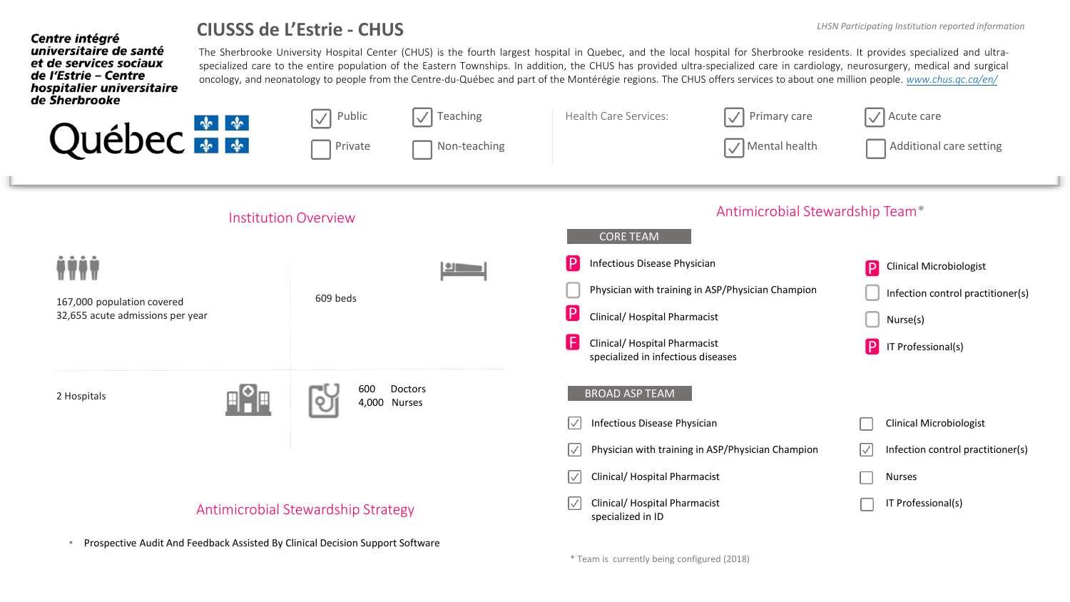## **CIUSSS de L'Estrie - CHUS**

**Centre intégré** 

universitaire de santé et de services sociaux de l'Estrie - Centre

The Sherbrooke University Hospital Center (CHUS) is the fourth largest hospital in Quebec, and the local hospital for Sherbrooke residents. It provides specialized and ultraspecialized care to the entire population of the Eastern Townships. In addition, the CHUS has provided ultra-specialized care in cardiology, neurosurgery, medical and surgical oncology, and neonatology to people from the Centre-du-Québec and part of the Montérégie regions. The CHUS offers services to about one million people. *[www.chus.qc.ca/en/](http://www.chus.qc.ca/en/)* hospitalier universitaire

| de Sherbrooke<br>Québec <sup>**</sup>                          | $\sqrt{}$<br>Teaching<br>Public<br>$\overline{\vee}$<br>Private<br>Non-teaching | $\sqrt{\phantom{a}}$ Primary care<br>Health Care Services:<br>V   Mental health                                                                                                                                       | $\sqrt{\phantom{a}}$ Acute care<br>Additional care setting                                                                      |
|----------------------------------------------------------------|---------------------------------------------------------------------------------|-----------------------------------------------------------------------------------------------------------------------------------------------------------------------------------------------------------------------|---------------------------------------------------------------------------------------------------------------------------------|
| <b>Institution Overview</b>                                    |                                                                                 | Antimicrobial Stewardship Team*<br><b>CORE TEAM</b>                                                                                                                                                                   |                                                                                                                                 |
| 167,000 population covered<br>32,655 acute admissions per year | $\blacksquare$<br>609 beds                                                      | IP.<br>Infectious Disease Physician<br>Physician with training in ASP/Physician Champion<br>$\mathbf{P}$<br>Clinical/ Hospital Pharmacist<br>A<br>Clinical/ Hospital Pharmacist<br>specialized in infectious diseases | P<br><b>Clinical Microbiologist</b><br>Infection control practitioner(s)<br>Nurse(s)<br>$\boxed{\mathsf{P}}$ IT Professional(s) |
| 2 Hospitals                                                    | 600<br>Doctors<br>o<br>4,000 Nurses                                             | <b>BROAD ASP TEAM</b><br>Infectious Disease Physician<br>$\vert \vee \vert$<br>Physician with training in ASP/Physician Champion<br>$\vert \vee \vert$<br>Clinical/ Hospital Pharmacist<br>$\vert \vee \vert$         | <b>Clinical Microbiologist</b><br>Infection control practitioner(s)<br>$ \surd $<br><b>Nurses</b>                               |
| Antimicrobial Stewardship Strategy                             |                                                                                 | Clinical/ Hospital Pharmacist<br>$\mathord{\vert} \mathord{\vee}$<br>specialized in ID                                                                                                                                | IT Professional(s)                                                                                                              |

• Prospective Audit And Feedback Assisted By Clinical Decision Support Software

\* Team is currently being configured (2018)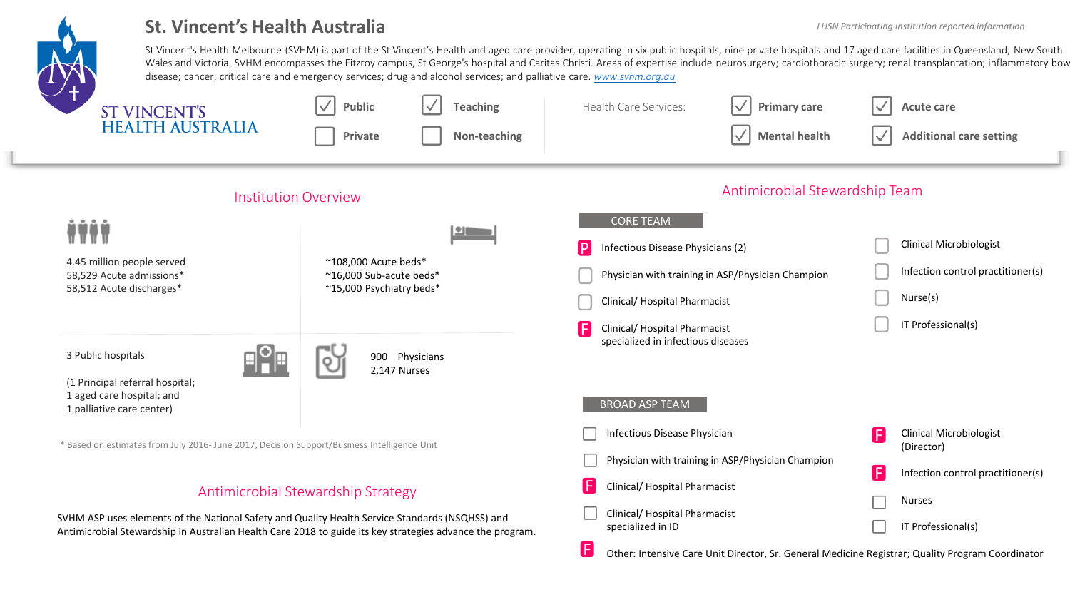

# St. Vincent's Health Australia *LHSN Participating Institution reported information*

St Vincent's Health Melbourne (SVHM) is part of the St Vincent's Health and aged care provider, operating in six public hospitals, nine private hospitals and 17 aged care facilities in Queensland, New South Wales and Victoria. SVHM encompasses the Fitzroy campus, St George's hospital and Caritas Christi. Areas of expertise include neurosurgery; cardiothoracic surgery; renal transplantation; inflammatory bow disease; cancer; critical care and emergency services; drug and alcohol services; and palliative care. *[www.svhm.org.au](http://www.svhm.org.au/)*

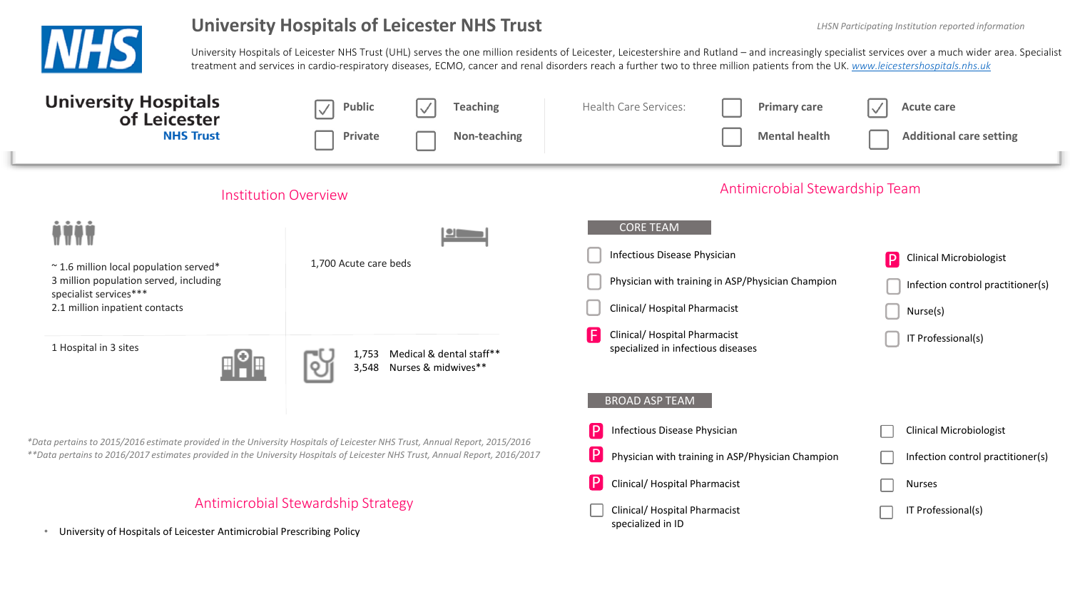

## University Hospitals of Leicester NHS Trust *Lating Machine Less Participating Institution reported information*

University Hospitals of Leicester NHS Trust (UHL) serves the one million residents of Leicester, Leicestershire and Rutland – and increasingly specialist services over a much wider area. Specialist treatment and services in cardio-respiratory diseases, ECMO, cancer and renal disorders reach a further two to three million patients from the UK. *[www.leicestershospitals.nhs.uk](http://www.leicestershospitals.nhs.uk/)*